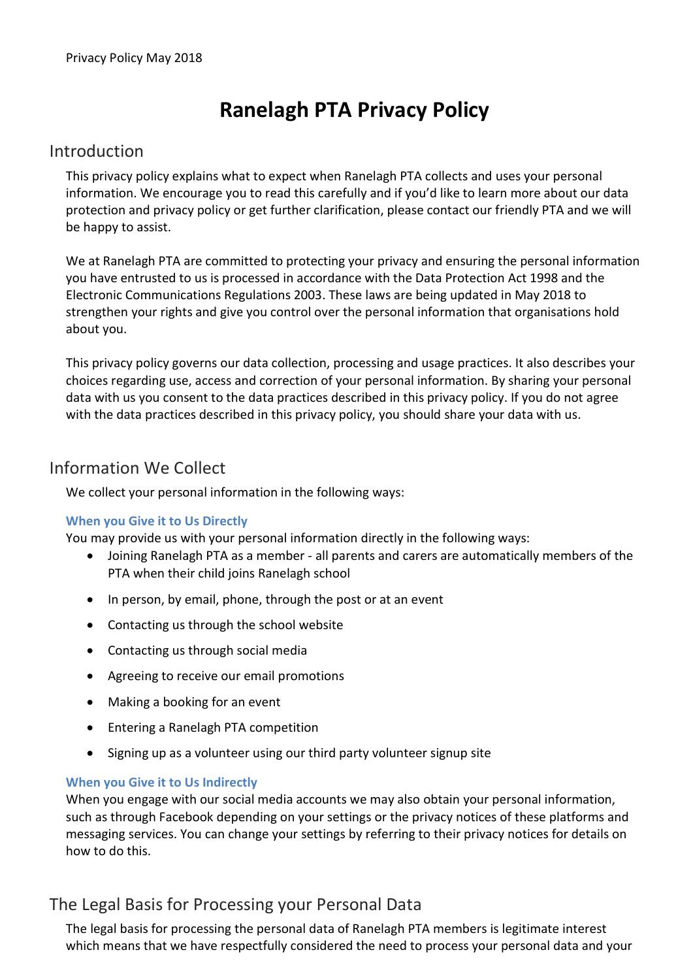# Ranelagh PTA Privacy Policy

### Introduction

This privacy policy explains what to expect when Ranelagh PTA collects and uses your personal information. We encourage you to read this carefully and if you'd like to learn more about our data protection and privacy policy or get further clarification, please contact our friendly PTA and we will be happy to assist.

We at Ranelagh PTA are committed to protecting your privacy and ensuring the personal information you have entrusted to us is processed in accordance with the Data Protection Act 1998 and the Electronic Communications Regulations 2003. These laws are being updated in May 2018 to strengthen your rights and give you control over the personal information that organisations hold about you.

This privacy policy governs our data collection, processing and usage practices. It also describes your choices regarding use, access and correction of your personal information. By sharing your personal data with us you consent to the data practices described in this privacy policy. If you do not agree with the data practices described in this privacy policy, you should share your data with us.

### Information We Collect

We collect your personal information in the following ways:

### When you Give it to Us Directly

You may provide us with your personal information directly in the following ways:

- Joining Ranelagh PTA as a member all parents and carers are automatically members of the PTA when their child joins Ranelagh school
- In person, by email, phone, through the post or at an event
- Contacting us through the school website
- Contacting us through social media
- Agreeing to receive our email promotions
- Making a booking for an event
- Entering a Ranelagh PTA competition
- Signing up as a volunteer using our third party volunteer signup site

#### When you Give it to Us Indirectly

When you engage with our social media accounts we may also obtain your personal information, such as through Facebook depending on your settings or the privacy notices of these platforms and messaging services. You can change your settings by referring to their privacy notices for details on how to do this.

# The Legal Basis for Processing your Personal Data

The legal basis for processing the personal data of Ranelagh PTA members is legitimate interest which means that we have respectfully considered the need to process your personal data and your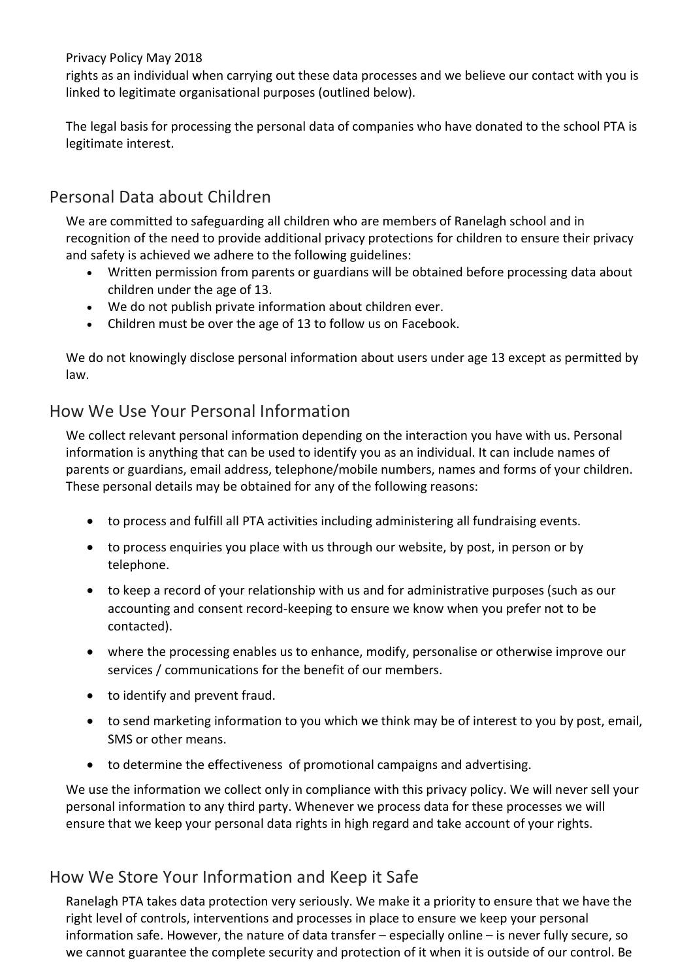Privacy Policy May 2018

rights as an individual when carrying out these data processes and we believe our contact with you is linked to legitimate organisational purposes (outlined below).

The legal basis for processing the personal data of companies who have donated to the school PTA is legitimate interest.

# Personal Data about Children

We are committed to safeguarding all children who are members of Ranelagh school and in recognition of the need to provide additional privacy protections for children to ensure their privacy and safety is achieved we adhere to the following guidelines:

- Written permission from parents or guardians will be obtained before processing data about children under the age of 13.
- We do not publish private information about children ever.
- Children must be over the age of 13 to follow us on Facebook.

We do not knowingly disclose personal information about users under age 13 except as permitted by law.

### How We Use Your Personal Information

We collect relevant personal information depending on the interaction you have with us. Personal information is anything that can be used to identify you as an individual. It can include names of parents or guardians, email address, telephone/mobile numbers, names and forms of your children. These personal details may be obtained for any of the following reasons:

- to process and fulfill all PTA activities including administering all fundraising events.
- to process enquiries you place with us through our website, by post, in person or by telephone.
- to keep a record of your relationship with us and for administrative purposes (such as our accounting and consent record-keeping to ensure we know when you prefer not to be contacted).
- where the processing enables us to enhance, modify, personalise or otherwise improve our services / communications for the benefit of our members.
- to identify and prevent fraud.
- to send marketing information to you which we think may be of interest to you by post, email, SMS or other means.
- to determine the effectiveness of promotional campaigns and advertising.

We use the information we collect only in compliance with this privacy policy. We will never sell your personal information to any third party. Whenever we process data for these processes we will ensure that we keep your personal data rights in high regard and take account of your rights.

# How We Store Your Information and Keep it Safe

Ranelagh PTA takes data protection very seriously. We make it a priority to ensure that we have the right level of controls, interventions and processes in place to ensure we keep your personal information safe. However, the nature of data transfer – especially online – is never fully secure, so we cannot guarantee the complete security and protection of it when it is outside of our control. Be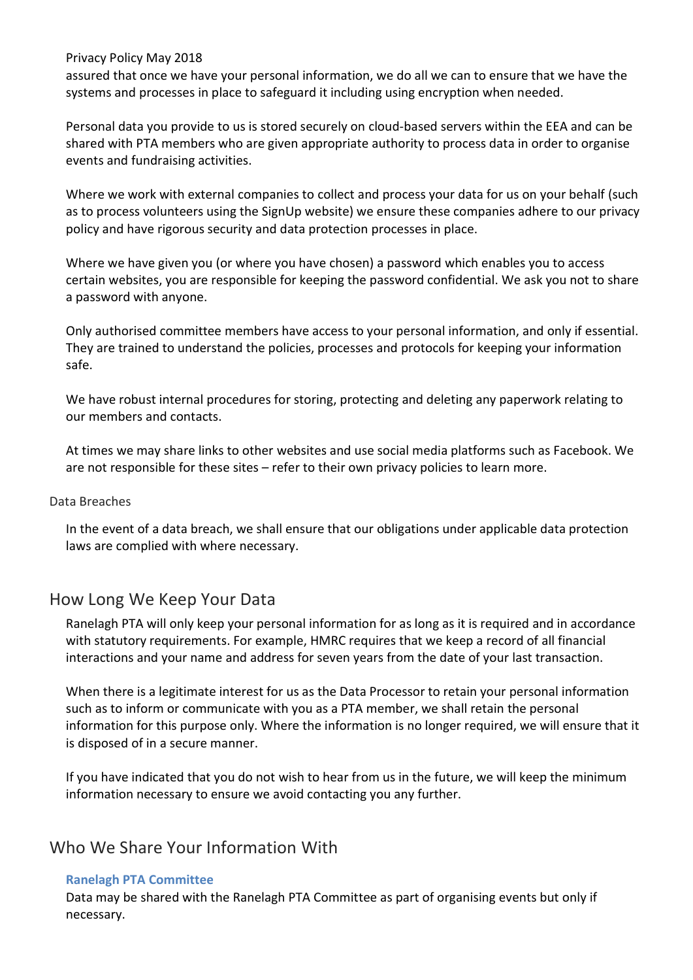Privacy Policy May 2018

assured that once we have your personal information, we do all we can to ensure that we have the systems and processes in place to safeguard it including using encryption when needed.

Personal data you provide to us is stored securely on cloud-based servers within the EEA and can be shared with PTA members who are given appropriate authority to process data in order to organise events and fundraising activities.

Where we work with external companies to collect and process your data for us on your behalf (such as to process volunteers using the SignUp website) we ensure these companies adhere to our privacy policy and have rigorous security and data protection processes in place.

Where we have given you (or where you have chosen) a password which enables you to access certain websites, you are responsible for keeping the password confidential. We ask you not to share a password with anyone.

Only authorised committee members have access to your personal information, and only if essential. They are trained to understand the policies, processes and protocols for keeping your information safe.

We have robust internal procedures for storing, protecting and deleting any paperwork relating to our members and contacts.

At times we may share links to other websites and use social media platforms such as Facebook. We are not responsible for these sites – refer to their own privacy policies to learn more.

#### Data Breaches

In the event of a data breach, we shall ensure that our obligations under applicable data protection laws are complied with where necessary.

### How Long We Keep Your Data

Ranelagh PTA will only keep your personal information for as long as it is required and in accordance with statutory requirements. For example, HMRC requires that we keep a record of all financial interactions and your name and address for seven years from the date of your last transaction.

When there is a legitimate interest for us as the Data Processor to retain your personal information such as to inform or communicate with you as a PTA member, we shall retain the personal information for this purpose only. Where the information is no longer required, we will ensure that it is disposed of in a secure manner.

If you have indicated that you do not wish to hear from us in the future, we will keep the minimum information necessary to ensure we avoid contacting you any further.

# Who We Share Your Information With

#### Ranelagh PTA Committee

Data may be shared with the Ranelagh PTA Committee as part of organising events but only if necessary.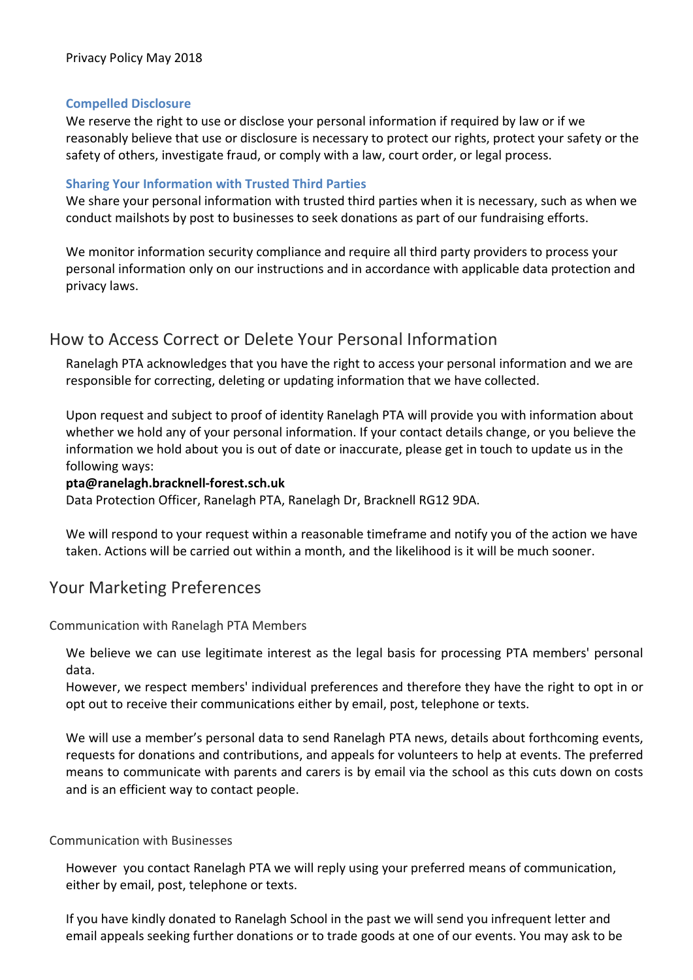#### Compelled Disclosure

We reserve the right to use or disclose your personal information if required by law or if we reasonably believe that use or disclosure is necessary to protect our rights, protect your safety or the safety of others, investigate fraud, or comply with a law, court order, or legal process.

### Sharing Your Information with Trusted Third Parties

We share your personal information with trusted third parties when it is necessary, such as when we conduct mailshots by post to businesses to seek donations as part of our fundraising efforts.

We monitor information security compliance and require all third party providers to process your personal information only on our instructions and in accordance with applicable data protection and privacy laws.

### How to Access Correct or Delete Your Personal Information

Ranelagh PTA acknowledges that you have the right to access your personal information and we are responsible for correcting, deleting or updating information that we have collected.

Upon request and subject to proof of identity Ranelagh PTA will provide you with information about whether we hold any of your personal information. If your contact details change, or you believe the information we hold about you is out of date or inaccurate, please get in touch to update us in the following ways:

#### pta@ranelagh.bracknell-forest.sch.uk

Data Protection Officer, Ranelagh PTA, Ranelagh Dr, Bracknell RG12 9DA.

We will respond to your request within a reasonable timeframe and notify you of the action we have taken. Actions will be carried out within a month, and the likelihood is it will be much sooner.

### Your Marketing Preferences

Communication with Ranelagh PTA Members

We believe we can use legitimate interest as the legal basis for processing PTA members' personal data.

However, we respect members' individual preferences and therefore they have the right to opt in or opt out to receive their communications either by email, post, telephone or texts.

We will use a member's personal data to send Ranelagh PTA news, details about forthcoming events, requests for donations and contributions, and appeals for volunteers to help at events. The preferred means to communicate with parents and carers is by email via the school as this cuts down on costs and is an efficient way to contact people.

#### Communication with Businesses

However you contact Ranelagh PTA we will reply using your preferred means of communication, either by email, post, telephone or texts.

If you have kindly donated to Ranelagh School in the past we will send you infrequent letter and email appeals seeking further donations or to trade goods at one of our events. You may ask to be